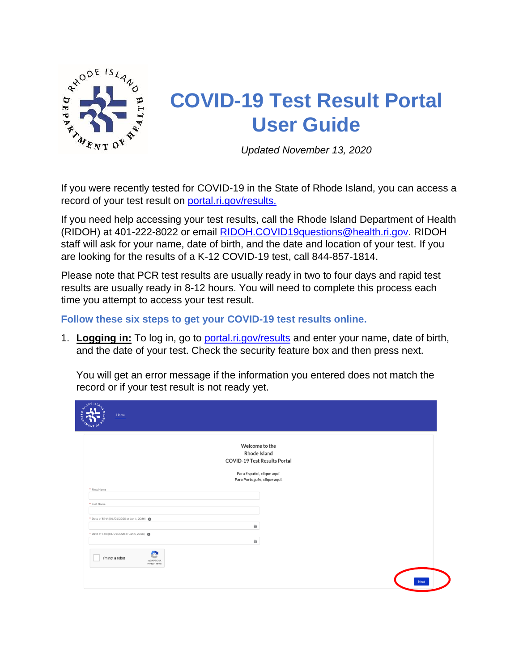

## **COVID-19 Test Result Portal User Guide**

*Updated November 13, 2020*

If you were recently tested for COVID-19 in the State of Rhode Island, you can access a record of your test result on [portal.ri.gov/results.](https://portal.ri.gov/results/s/)

If you need help accessing your test results, call the Rhode Island Department of Health (RIDOH) at 401-222-8022 or email [RIDOH.COVID19questions@health.ri.gov.](mailto:RIDOH.COVID19questions@health.ri.gov) RIDOH staff will ask for your name, date of birth, and the date and location of your test. If you are looking for the results of a K-12 COVID-19 test, call 844-857-1814.

Please note that PCR test results are usually ready in two to four days and rapid test results are usually ready in 8-12 hours. You will need to complete this process each time you attempt to access your test result.

**Follow these six steps to get your COVID-19 test results online.** 

1. **Logging in:** To log in, go to [portal.ri.gov/results](https://portal.ri.gov/results/s/) and enter your name, date of birth, and the date of your test. Check the security feature box and then press next.

You will get an error message if the information you entered does not match the record or if your test result is not ready yet.

|                                               | Welcome to the                                             |  |
|-----------------------------------------------|------------------------------------------------------------|--|
|                                               | Rhode Island<br>COVID-19 Test Results Portal               |  |
|                                               |                                                            |  |
|                                               | Para Español, clique aquí.<br>Para Português, clique aqui. |  |
| * First Name                                  |                                                            |  |
|                                               |                                                            |  |
| * Last Name                                   |                                                            |  |
| * Date of Birth (01/01/2020 or Jan 1, 2020) @ |                                                            |  |
|                                               | 齒                                                          |  |
| * Date of Test (01/01/2020 or Jan 1, 2020)    |                                                            |  |
|                                               | 笛                                                          |  |
| I'm not a robot                               |                                                            |  |
| <b>reCAPTCHA</b><br>Privacy - Terms           |                                                            |  |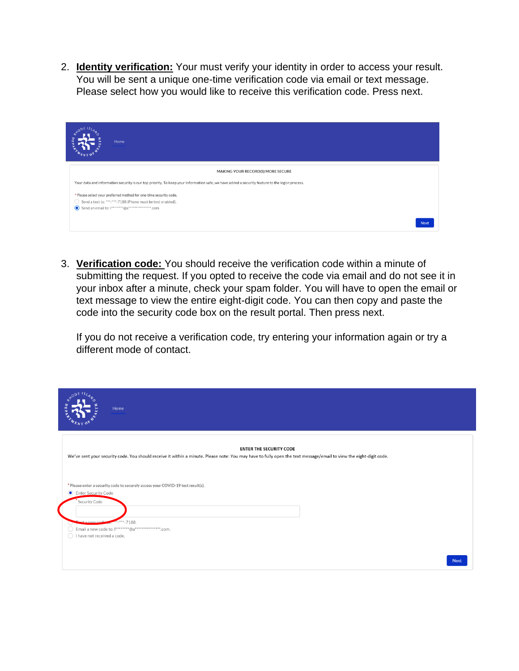2. **Identity verification:** Your must verify your identity in order to access your result. You will be sent a unique one-time verification code via email or text message. Please select how you would like to receive this verification code. Press next.

| Home                                                                                                                                                                                |             |
|-------------------------------------------------------------------------------------------------------------------------------------------------------------------------------------|-------------|
| MAKING YOUR RECORD(S) MORE SECURE                                                                                                                                                   |             |
| Your data and information security is our top priority. To keep your information safe, we have added a security feature to the logon process.                                       |             |
| * Please select your preferred method for one-time security code.<br>Send a text to: ***-***-7188 (Phone must be text enabled).<br>Send an email to:  ********@a***************.com |             |
|                                                                                                                                                                                     | <b>Next</b> |

3. **Verification code:** You should receive the verification code within a minute of submitting the request. If you opted to receive the code via email and do not see it in your inbox after a minute, check your spam folder. You will have to open the email or text message to view the entire eight-digit code. You can then copy and paste the code into the security code box on the result portal. Then press next.

If you do not receive a verification code, try entering your information again or try a different mode of contact.

| nEIS<br>Home                                                                                                                                                                                         |
|------------------------------------------------------------------------------------------------------------------------------------------------------------------------------------------------------|
| <b>ENTER THE SECURITY CODE</b><br>We've sent your security code. You should receive it within a minute. Please note: You may have to fully open the text message/email to view the eight-digit code. |
| * Please enter a security code to securely access your COVID-19 test result(s).<br>Enter Security Code<br>Security Code                                                                              |
| $***-7188.$<br>a new code<br>Email a new code to:  ********@a****************.com.<br>I have not received a code.<br>$\bigcirc$                                                                      |
| <b>Next</b>                                                                                                                                                                                          |